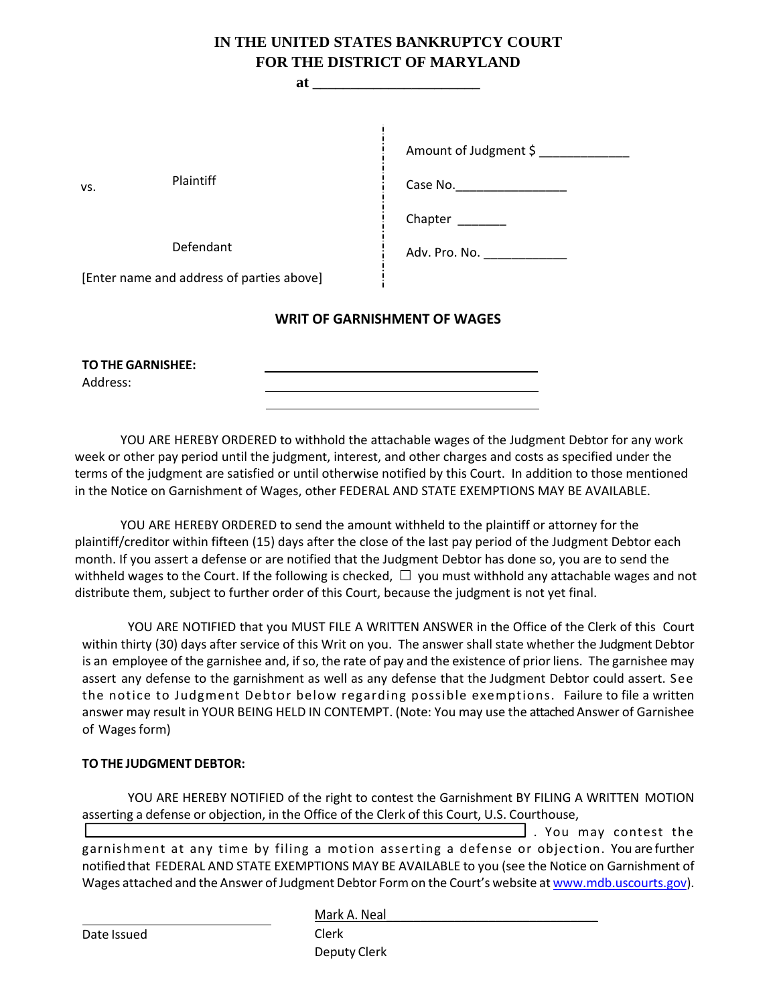# **IN THE UNITED STATES BANKRUPTCY COURT FOR THE DISTRICT OF MARYLAND**

| at                                        |                                              |
|-------------------------------------------|----------------------------------------------|
| Plaintiff<br>VS.<br>Defendant             | Amount of Judgment \$<br>Case No.<br>Chapter |
| [Enter name and address of parties above] | Adv. Pro. No. ______________                 |
| <b>WRIT OF GARNISHMENT OF WAGES</b>       |                                              |
| <b>TO THE GARNISHEE:</b>                  |                                              |

YOU ARE HEREBY ORDERED to withhold the attachable wages of the Judgment Debtor for any work week or other pay period until the judgment, interest, and other charges and costs as specified under the terms of the judgment are satisfied or until otherwise notified by this Court. In addition to those mentioned in the Notice on Garnishment of Wages, other FEDERAL AND STATE EXEMPTIONS MAY BE AVAILABLE.

YOU ARE HEREBY ORDERED to send the amount withheld to the plaintiff or attorney for the plaintiff/creditor within fifteen (15) days after the close of the last pay period of the Judgment Debtor each month. If you assert a defense or are notified that the Judgment Debtor has done so, you are to send the withheld wages to the Court. If the following is checked,  $\Box$  you must withhold any attachable wages and not distribute them, subject to further order of this Court, because the judgment is not yet final.

YOU ARE NOTIFIED that you MUST FILE A WRITTEN ANSWER in the Office of the Clerk of this Court within thirty (30) days after service of this Writ on you. The answer shall state whether the Judgment Debtor is an employee of the garnishee and, if so, the rate of pay and the existence of prior liens. The garnishee may assert any defense to the garnishment as well as any defense that the Judgment Debtor could assert. See the notice to Judgment Debtor below regarding possible exemptions. Failure to file a written answer may result in YOUR BEING HELD IN CONTEMPT. (Note: You may use the attached Answer of Garnishee of Wages form)

#### **TO THE JUDGMENT DEBTOR:**

YOU ARE HEREBY NOTIFIED of the right to contest the Garnishment BY FILING A WRITTEN MOTION asserting a defense or objection, in the Office of the Clerk of this Court, U.S. Courthouse,

 $\mathcal{L}_\text{max}$  and  $\mathcal{L}_\text{max}$  and  $\mathcal{L}_\text{max}$  and  $\mathcal{L}_\text{max}$  and  $\mathcal{L}_\text{max}$  $\Box$  . You may contest the garnishment at any time by filing a motion asserting a defense or objection. You are further notifiedthat FEDERAL AND STATE EXEMPTIONS MAY BE AVAILABLE to you (see the Notice on Garnishment of Wages attached and the Answer of Judgment Debtor Form on the Court's website at www.mdb.uscourts.gov).

Date Issued

Address:

Mark A. Neal

Clerk Deputy Clerk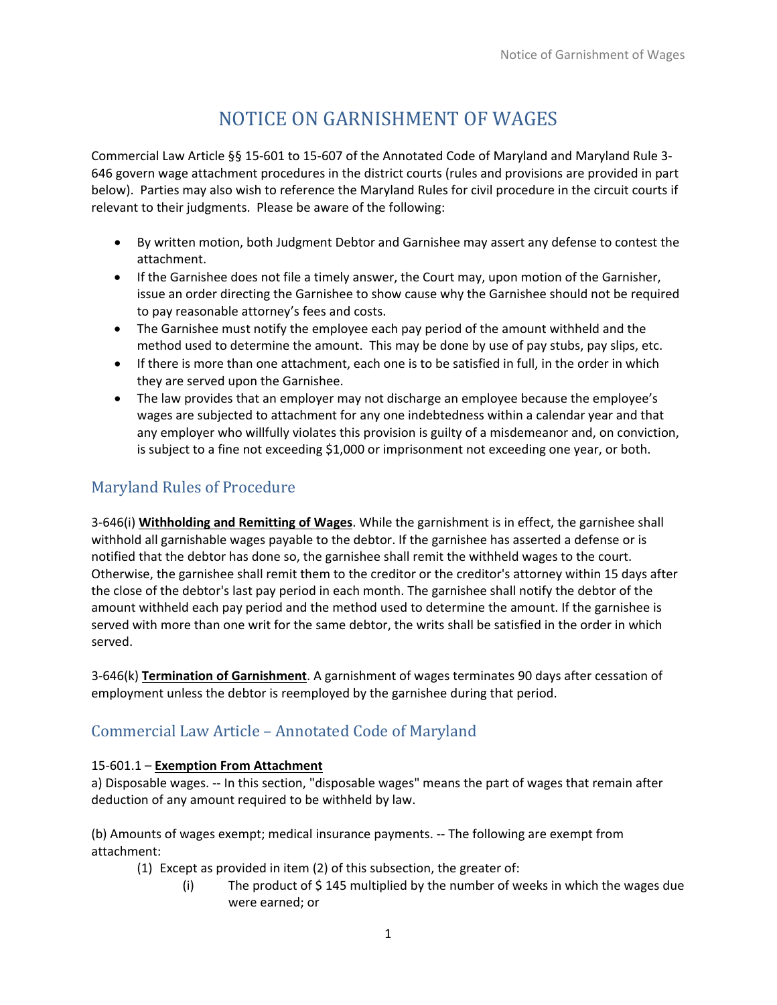# NOTICE ON GARNISHMENT OF WAGES

Commercial Law Article §§ 15‐601 to 15‐607 of the Annotated Code of Maryland and Maryland Rule 3‐ 646 govern wage attachment procedures in the district courts (rules and provisions are provided in part below). Parties may also wish to reference the Maryland Rules for civil procedure in the circuit courts if relevant to their judgments. Please be aware of the following:

- By written motion, both Judgment Debtor and Garnishee may assert any defense to contest the attachment.
- If the Garnishee does not file a timely answer, the Court may, upon motion of the Garnisher, issue an order directing the Garnishee to show cause why the Garnishee should not be required to pay reasonable attorney's fees and costs.
- The Garnishee must notify the employee each pay period of the amount withheld and the method used to determine the amount. This may be done by use of pay stubs, pay slips, etc.
- If there is more than one attachment, each one is to be satisfied in full, in the order in which they are served upon the Garnishee.
- The law provides that an employer may not discharge an employee because the employee's wages are subjected to attachment for any one indebtedness within a calendar year and that any employer who willfully violates this provision is guilty of a misdemeanor and, on conviction, is subject to a fine not exceeding \$1,000 or imprisonment not exceeding one year, or both.

# Maryland Rules of Procedure

3‐646(i) **Withholding and Remitting of Wages**. While the garnishment is in effect, the garnishee shall withhold all garnishable wages payable to the debtor. If the garnishee has asserted a defense or is notified that the debtor has done so, the garnishee shall remit the withheld wages to the court. Otherwise, the garnishee shall remit them to the creditor or the creditor's attorney within 15 days after the close of the debtor's last pay period in each month. The garnishee shall notify the debtor of the amount withheld each pay period and the method used to determine the amount. If the garnishee is served with more than one writ for the same debtor, the writs shall be satisfied in the order in which served.

3‐646(k) **Termination of Garnishment**. A garnishment of wages terminates 90 days after cessation of employment unless the debtor is reemployed by the garnishee during that period.

### Commercial Law Article – Annotated Code of Maryland

#### 15‐601.1 – **Exemption From Attachment**

a) Disposable wages. ‐‐ In this section, "disposable wages" means the part of wages that remain after deduction of any amount required to be withheld by law.

(b) Amounts of wages exempt; medical insurance payments. ‐‐ The following are exempt from attachment:

- (1) Except as provided in item (2) of this subsection, the greater of:
	- (i) The product of \$ 145 multiplied by the number of weeks in which the wages due were earned; or